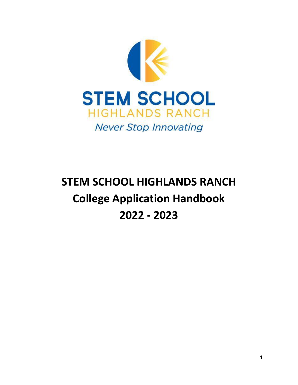

# **STEM SCHOOL HIGHLANDS RANCH College Application Handbook 2022 - 2023**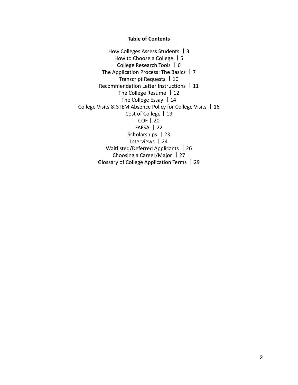#### **Table of Contents**

How Colleges Assess Students 丨3 How to Choose a College 丨5 College Research Tools 丨6 The Application Process: The Basics 丨7 Transcript Requests 丨10 Recommendation Letter Instructions 丨11 The College Resume | 12 The College Essay | 14 College Visits & STEM Absence Policy for College Visits 丨16 Cost of College | 19 COF丨20 FAFSA 丨22 Scholarships | 23 Interviews 丨24 Waitlisted/Deferred Applicants | 26 Choosing a Career/Major 丨27 Glossary of College Application Terms 丨29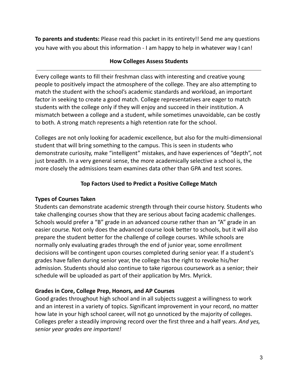**To parents and students:** Please read this packet in its entirety!! Send me any questions you have with you about this information - I am happy to help in whatever way I can!

## **How Colleges Assess Students**

Every college wants to fill their freshman class with interesting and creative young people to positively impact the atmosphere of the college. They are also attempting to match the student with the school's academic standards and workload, an important factor in seeking to create a good match. College representatives are eager to match students with the college only if they will enjoy and succeed in their institution. A mismatch between a college and a student, while sometimes unavoidable, can be costly to both. A strong match represents a high retention rate for the school.

Colleges are not only looking for academic excellence, but also for the multi-dimensional student that will bring something to the campus. This is seen in students who demonstrate curiosity, make "intelligent" mistakes, and have experiences of "depth", not just breadth. In a very general sense, the more academically selective a school is, the more closely the admissions team examines data other than GPA and test scores.

## **Top Factors Used to Predict a Positive College Match**

## **Types of Courses Taken**

Students can demonstrate academic strength through their course history. Students who take challenging courses show that they are serious about facing academic challenges. Schools would prefer a "B" grade in an advanced course rather than an "A" grade in an easier course. Not only does the advanced course look better to schools, but it will also prepare the student better for the challenge of college courses. While schools are normally only evaluating grades through the end of junior year, some enrollment decisions will be contingent upon courses completed during senior year. If a student's grades have fallen during senior year, the college has the right to revoke his/her admission. Students should also continue to take rigorous coursework as a senior; their schedule will be uploaded as part of their application by Mrs. Myrick.

#### **Grades in Core, College Prep, Honors, and AP Courses**

Good grades throughout high school and in all subjects suggest a willingness to work and an interest in a variety of topics. Significant improvement in your record, no matter how late in your high school career, will not go unnoticed by the majority of colleges. Colleges prefer a steadily improving record over the first three and a half years. *And yes, senior year grades are important!*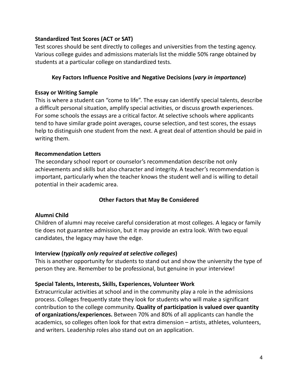# **Standardized Test Scores (ACT or SAT)**

Test scores should be sent directly to colleges and universities from the testing agency. Various college guides and admissions materials list the middle 50% range obtained by students at a particular college on standardized tests.

# **Key Factors Influence Positive and Negative Decisions (***vary in importance***)**

#### **Essay or Writing Sample**

This is where a student can "come to life". The essay can identify special talents, describe a difficult personal situation, amplify special activities, or discuss growth experiences. For some schools the essays are a critical factor. At selective schools where applicants tend to have similar grade point averages, course selection, and test scores, the essays help to distinguish one student from the next. A great deal of attention should be paid in writing them.

#### **Recommendation Letters**

The secondary school report or counselor's recommendation describe not only achievements and skills but also character and integrity. A teacher's recommendation is important, particularly when the teacher knows the student well and is willing to detail potential in their academic area.

## **Other Factors that May Be Considered**

## **Alumni Child**

Children of alumni may receive careful consideration at most colleges. A legacy or family tie does not guarantee admission, but it may provide an extra look. With two equal candidates, the legacy may have the edge.

## **Interview (***typically only required at selective colleges***)**

This is another opportunity for students to stand out and show the university the type of person they are. Remember to be professional, but genuine in your interview!

## **Special Talents, Interests, Skills, Experiences, Volunteer Work**

Extracurricular activities at school and in the community play a role in the admissions process. Colleges frequently state they look for students who will make a significant contribution to the college community. **Quality of participation is valued over quantity of organizations/experiences.** Between 70% and 80% of all applicants can handle the academics, so colleges often look for that extra dimension – artists, athletes, volunteers, and writers. Leadership roles also stand out on an application.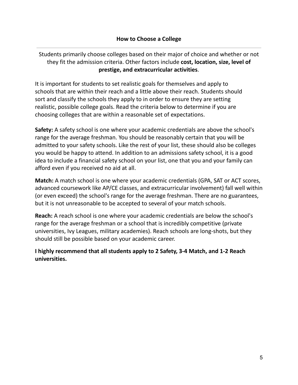# Students primarily choose colleges based on their major of choice and whether or not they fit the admission criteria. Other factors include **cost, location, size, level of prestige, and extracurricular activities**.

It is important for students to set realistic goals for themselves and apply to schools that are within their reach and a little above their reach. Students should sort and classify the schools they apply to in order to ensure they are setting realistic, possible college goals. Read the criteria below to determine if you are choosing colleges that are within a reasonable set of expectations.

**Safety:** A safety school is one where your academic credentials are above the school's range for the average freshman. You should be reasonably certain that you will be admitted to your safety schools. Like the rest of your list, these should also be colleges you would be happy to attend. In addition to an admissions safety school, it is a good idea to include a financial safety school on your list, one that you and your family can afford even if you received no aid at all.

**Match:** A match school is one where your academic credentials (GPA, SAT or ACT scores, advanced coursework like AP/CE classes, and extracurricular involvement) fall well within (or even exceed) the school's range for the average freshman. There are no guarantees, but it is not unreasonable to be accepted to several of your match schools.

**Reach:** A reach school is one where your academic credentials are below the school's range for the average freshman or a school that is incredibly competitive (private universities, Ivy Leagues, military academies). Reach schools are long-shots, but they should still be possible based on your academic career.

**I highly recommend that all students apply to 2 Safety, 3-4 Match, and 1-2 Reach universities.**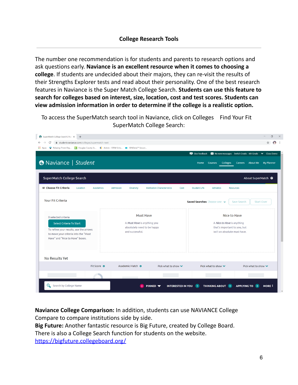The number one recommendation is for students and parents to research options and ask questions early. **Naviance is an excellent resource when it comes to choosing a college**. If students are undecided about their majors, they can re-visit the results of their Strengths Explorer tests and read about their personality. One of the best research features in Naviance is the Super Match College Search. **Students can use this feature to search for colleges based on interest, size, location, cost and test scores. Students can view admission information in order to determine if the college is a realistic option.**

To access the SuperMatch search tool in Naviance, click on Colleges Find Your Fit SuperMatch College Search:



**Naviance College Comparison:** In addition, students can use NAVIANCE College Compare to compare institutions side by side.

**Big Future:** Another fantastic resource is Big Future, created by College Board.

There is also a College Search function for students on the website.

<https://bigfuture.collegeboard.org/>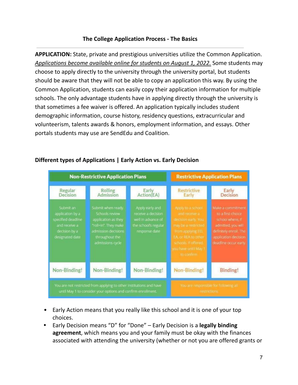#### **The College Application Process - The Basics**

**APPLICATION:** State, private and prestigious universities utilize the Common Application. *Applications become available online for students on August 1, 2022.* Some students may choose to apply directly to the university through the university portal, but students should be aware that they will not be able to copy an application this way. By using the Common Application, students can easily copy their application information for multiple schools. The only advantage students have in applying directly through the university is that sometimes a fee waiver is offered. An application typically includes student demographic information, course history, residency questions, extracurricular and volunteerism, talents awards & honors, employment information, and essays. Other portals students may use are SendEdu and Coalition.



## **Different types of Applications | Early Action vs. Early Decision**

- Early Action means that you really like this school and it is one of your top choices.
- **•** Early Decision means "D" for "Done" Early Decision is a **legally binding agreement**, which means you and your family must be okay with the finances associated with attending the university (whether or not you are offered grants or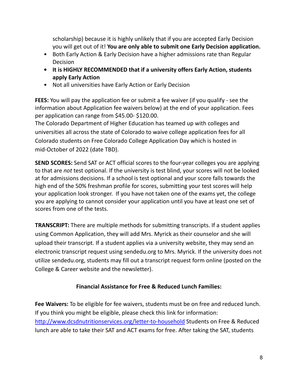scholarship) because it is highly unlikely that if you are accepted Early Decision you will get out of it! **You are only able to submit one Early Decision application.**

- Both Early Action & Early Decision have a higher admissions rate than Regular Decision
- **• It is HIGHLY RECOMMENDED that if a university offers Early Action, students apply Early Action**
- Not all universities have Early Action or Early Decision

**FEES:** You will pay the application fee or submit a fee waiver (if you qualify - see the information about Application fee waivers below) at the end of your application. Fees per application can range from \$45.00- \$120.00.

The Colorado Department of Higher Education has teamed up with colleges and universities all across the state of Colorado to waive college application fees for all Colorado students on Free Colorado College Application Day which is hosted in mid-October of 2022 (date TBD).

**SEND SCORES:** Send SAT or ACT official scores to the four-year colleges you are applying to that are *not* test optional. If the university is test blind, your scores will not be looked at for admissions decisions. If a school is test optional and your score falls towards the high end of the 50% freshman profile for scores, submitting your test scores will help your application look stronger. If you have not taken one of the exams yet, the college you are applying to cannot consider your application until you have at least one set of scores from one of the tests.

**TRANSCRIPT:** There are multiple methods for submitting transcripts. If a student applies using Common Application, they will add Mrs. Myrick as their counselor and she will upload their transcript. If a student applies via a university website, they may send an electronic transcript request using sendedu.org to Mrs. Myrick. If the university does not utilize sendedu.org, students may fill out a transcript request form online (posted on the College & Career website and the newsletter).

# **Financial Assistance for Free & Reduced Lunch Families:**

**Fee Waivers:** To be eligible for fee waivers, students must be on free and reduced lunch. If you think you might be eligible, please check this link for information: <http://www.dcsdnutritionservices.org/letter-to-household> Students on Free & Reduced lunch are able to take their SAT and ACT exams for free. After taking the SAT, students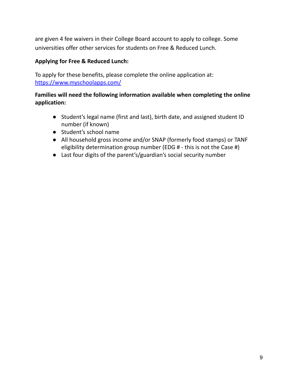are given 4 fee waivers in their College Board account to apply to college. Some universities offer other services for students on Free & Reduced Lunch.

# **Applying for Free & Reduced Lunch:**

To apply for these benefits, please complete the online application at: <https://www.myschoolapps.com/>

# **Families will need the following information available when completing the online application:**

- Student's legal name (first and last), birth date, and assigned student ID number (if known)
- Student's school name
- All household gross income and/or SNAP (formerly food stamps) or TANF eligibility determination group number (EDG # - this is not the Case #)
- Last four digits of the parent's/guardian's social security number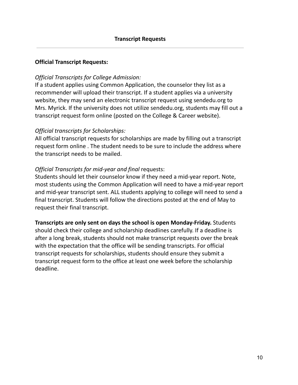#### **Official Transcript Requests:**

#### *Official Transcripts for College Admission:*

If a student applies using Common Application, the counselor they list as a recommender will upload their transcript. If a student applies via a university website, they may send an electronic transcript request using sendedu.org to Mrs. Myrick. If the university does not utilize sendedu.org, students may fill out a transcript request form online (posted on the College & Career website).

#### *Official transcripts for Scholarships:*

All official transcript requests for scholarships are made by filling out a transcript request form online . The student needs to be sure to include the address where the transcript needs to be mailed.

#### *Official Transcripts for mid-year and final* requests:

Students should let their counselor know if they need a mid-year report. Note, most students using the Common Application will need to have a mid-year report and mid-year transcript sent. ALL students applying to college will need to send a final transcript. Students will follow the directions posted at the end of May to request their final transcript.

#### **Transcripts are only sent on days the school is open Monday-Friday.** Students

should check their college and scholarship deadlines carefully. If a deadline is after a long break, students should not make transcript requests over the break with the expectation that the office will be sending transcripts. For official transcript requests for scholarships, students should ensure they submit a transcript request form to the office at least one week before the scholarship deadline.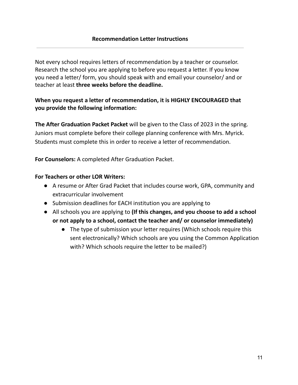Not every school requires letters of recommendation by a teacher or counselor. Research the school you are applying to before you request a letter. If you know you need a letter/ form, you should speak with and email your counselor/ and or teacher at least **three weeks before the deadline.**

# **When you request a letter of recommendation, it is HIGHLY ENCOURAGED that you provide the following information:**

**The After Graduation Packet Packet** will be given to the Class of 2023 in the spring. Juniors must complete before their college planning conference with Mrs. Myrick. Students must complete this in order to receive a letter of recommendation.

**For Counselors:** A completed After Graduation Packet.

#### **For Teachers or other LOR Writers:**

- A resume or After Grad Packet that includes course work, GPA, community and extracurricular involvement
- **●** Submission deadlines for EACH institution you are applying to
- **●** All schools you are applying to **(If this changes, and you choose to add a school or not apply to a school, contact the teacher and/ or counselor immediately)**
	- The type of submission your letter requires (Which schools require this sent electronically? Which schools are you using the Common Application with? Which schools require the letter to be mailed?)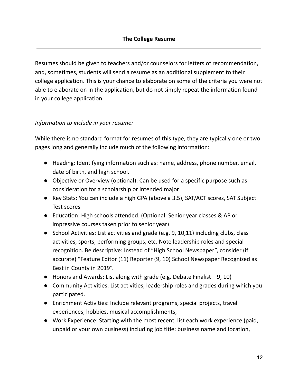Resumes should be given to teachers and/or counselors for letters of recommendation, and, sometimes, students will send a resume as an additional supplement to their college application. This is your chance to elaborate on some of the criteria you were not able to elaborate on in the application, but do not simply repeat the information found in your college application.

# *Information to include in your resume:*

While there is no standard format for resumes of this type, they are typically one or two pages long and generally include much of the following information:

- Heading: Identifying information such as: name, address, phone number, email, date of birth, and high school.
- Objective or Overview (optional): Can be used for a specific purpose such as consideration for a scholarship or intended major
- Key Stats: You can include a high GPA (above a 3.5), SAT/ACT scores, SAT Subject Test scores
- Education: High schools attended. (Optional: Senior year classes & AP or impressive courses taken prior to senior year)
- School Activities: List activities and grade (e.g. 9, 10,11) including clubs, class activities, sports, performing groups, etc. Note leadership roles and special recognition. Be descriptive: Instead of "High School Newspaper", consider (if accurate) "Feature Editor (11) Reporter (9, 10) School Newspaper Recognized as Best in County in 2019".
- Honors and Awards: List along with grade (e.g. Debate Finalist 9, 10)
- Community Activities: List activities, leadership roles and grades during which you participated.
- Enrichment Activities: Include relevant programs, special projects, travel experiences, hobbies, musical accomplishments,
- Work Experience: Starting with the most recent, list each work experience (paid, unpaid or your own business) including job title; business name and location,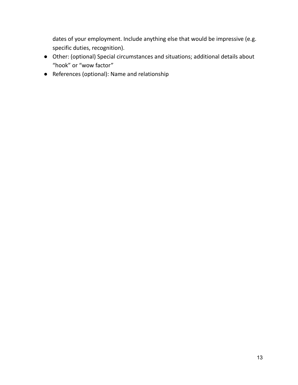dates of your employment. Include anything else that would be impressive (e.g. specific duties, recognition).

- Other: (optional) Special circumstances and situations; additional details about "hook" or "wow factor"
- References (optional): Name and relationship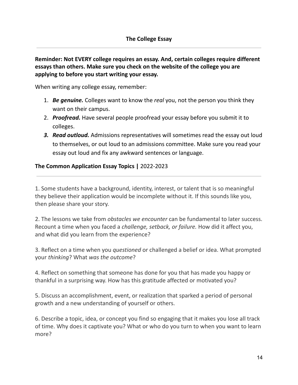# **Reminder: Not EVERY college requires an essay. And, certain colleges require different essays than others. Make sure you check on the website of the college you are applying to before you start writing your essay.**

When writing any college essay, remember:

- 1. *Be genuine.* Colleges want to know the *real* you, not the person you think they want on their campus.
- 2. *Proofread.* Have several people proofread your essay before you submit it to colleges.
- *3. Read outloud.* Admissions representatives will sometimes read the essay out loud to themselves, or out loud to an admissions committee. Make sure you read your essay out loud and fix any awkward sentences or language.

## **The Common Application Essay Topics |** 2022-2023

1. Some students have a background, identity, interest, or talent that is so meaningful they believe their application would be incomplete without it. If this sounds like you, then please share your story.

2. The lessons we take from *obstacles we encounter* can be fundamental to later success. Recount a time when you faced a *challenge, setback, or failure.* How did it affect you, and what did you learn from the experience?

3. Reflect on a time when you *questioned* or challenged a belief or idea. What prompted your *thinking*? What *was the outcome*?

4. Reflect on something that someone has done for you that has made you happy or thankful in a surprising way. How has this gratitude affected or motivated you?

5. Discuss an accomplishment, event, or realization that sparked a period of personal growth and a new understanding of yourself or others.

6. Describe a topic, idea, or concept you find so engaging that it makes you lose all track of time. Why does it captivate you? What or who do you turn to when you want to learn more?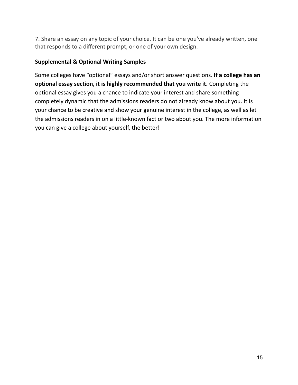7. Share an essay on any topic of your choice. It can be one you've already written, one that responds to a different prompt, or one of your own design.

# **Supplemental & Optional Writing Samples**

Some colleges have "optional" essays and/or short answer questions. **If a college has an optional essay section, it is highly recommended that you write it.** Completing the optional essay gives you a chance to indicate your interest and share something completely dynamic that the admissions readers do not already know about you. It is your chance to be creative and show your genuine interest in the college, as well as let the admissions readers in on a little-known fact or two about you. The more information you can give a college about yourself, the better!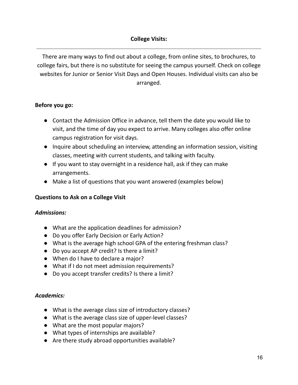# **College Visits:**

There are many ways to find out about a college, from online sites, to brochures, to college fairs, but there is no substitute for seeing the campus yourself. Check on college websites for Junior or Senior Visit Days and Open Houses. Individual visits can also be arranged.

## **Before you go:**

- Contact the Admission Office in advance, tell them the date you would like to visit, and the time of day you expect to arrive. Many colleges also offer online campus registration for visit days.
- Inquire about scheduling an interview, attending an information session, visiting classes, meeting with current students, and talking with faculty.
- If you want to stay overnight in a residence hall, ask if they can make arrangements.
- Make a list of questions that you want answered (examples below)

## **Questions to Ask on a College Visit**

#### *Admissions:*

- What are the application deadlines for admission?
- Do you offer Early Decision or Early Action?
- What is the average high school GPA of the entering freshman class?
- Do you accept AP credit? Is there a limit?
- When do I have to declare a major?
- What if I do not meet admission requirements?
- Do you accept transfer credits? Is there a limit?

## *Academics:*

- What is the average class size of introductory classes?
- What is the average class size of upper-level classes?
- What are the most popular majors?
- What types of internships are available?
- Are there study abroad opportunities available?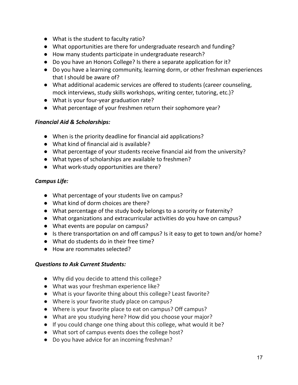- What is the student to faculty ratio?
- What opportunities are there for undergraduate research and funding?
- How many students participate in undergraduate research?
- Do you have an Honors College? Is there a separate application for it?
- Do you have a learning community, learning dorm, or other freshman experiences that I should be aware of?
- What additional academic services are offered to students (career counseling, mock interviews, study skills workshops, writing center, tutoring, etc.)?
- What is your four-year graduation rate?
- What percentage of your freshmen return their sophomore year?

# *Financial Aid & Scholarships:*

- When is the priority deadline for financial aid applications?
- What kind of financial aid is available?
- What percentage of your students receive financial aid from the university?
- What types of scholarships are available to freshmen?
- What work-study opportunities are there?

# *Campus Life:*

- What percentage of your students live on campus?
- What kind of dorm choices are there?
- What percentage of the study body belongs to a sorority or fraternity?
- What organizations and extracurricular activities do you have on campus?
- What events are popular on campus?
- Is there transportation on and off campus? Is it easy to get to town and/or home?
- What do students do in their free time?
- How are roommates selected?

## *Questions to Ask Current Students:*

- Why did you decide to attend this college?
- What was your freshman experience like?
- What is your favorite thing about this college? Least favorite?
- Where is your favorite study place on campus?
- Where is your favorite place to eat on campus? Off campus?
- What are you studying here? How did you choose your major?
- If you could change one thing about this college, what would it be?
- What sort of campus events does the college host?
- Do you have advice for an incoming freshman?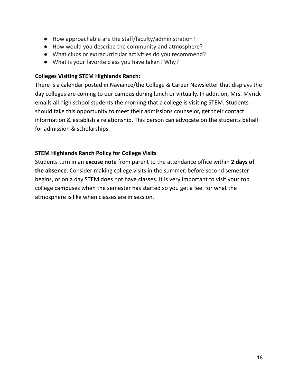- How approachable are the staff/faculty/administration?
- How would you describe the community and atmosphere?
- What clubs or extracurricular activities do you recommend?
- What is your favorite class you have taken? Why?

## **Colleges Visiting STEM Highlands Ranch:**

There is a calendar posted in Naviance/the College & Career Newsletter that displays the day colleges are coming to our campus during lunch or virtually. In addition, Mrs. Myrick emails all high school students the morning that a college is visiting STEM. Students should take this opportunity to meet their admissions counselor, get their contact information & establish a relationship. This person can advocate on the students behalf for admission & scholarships.

# **STEM Highlands Ranch Policy for College Visits**

Students turn in an **excuse note** from parent to the attendance office within **2 days of the absence**. Consider making college visits in the summer, before second semester begins, or on a day STEM does not have classes. It is very important to visit your top college campuses when the semester has started so you get a feel for what the atmosphere is like when classes are in session.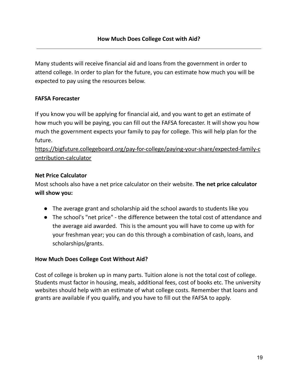Many students will receive financial aid and loans from the government in order to attend college. In order to plan for the future, you can estimate how much you will be expected to pay using the resources below.

## **FAFSA Forecaster**

If you know you will be applying for financial aid, and you want to get an estimate of how much you will be paying, you can fill out the FAFSA forecaster. It will show you how much the government expects your family to pay for college. This will help plan for the future.

[https://bigfuture.collegeboard.org/pay-for-college/paying-your-share/expected-family-c](https://bigfuture.collegeboard.org/pay-for-college/paying-your-share/expected-family-contribution-calculator) [ontribution-calculator](https://bigfuture.collegeboard.org/pay-for-college/paying-your-share/expected-family-contribution-calculator)

## **Net Price Calculator**

Most schools also have a net price calculator on their website. **The net price calculator will show you:**

- The average grant and scholarship aid the school awards to students like you
- The school's "net price" the difference between the total cost of attendance and the average aid awarded. This is the amount you will have to come up with for your freshman year; you can do this through a combination of cash, loans, and scholarships/grants.

## **How Much Does College Cost Without Aid?**

Cost of college is broken up in many parts. Tuition alone is not the total cost of college. Students must factor in housing, meals, additional fees, cost of books etc. The university websites should help with an estimate of what college costs. Remember that loans and grants are available if you qualify, and you have to fill out the FAFSA to apply.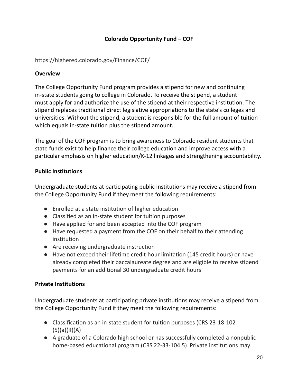#### <https://highered.colorado.gov/Finance/COF/>

#### **Overview**

The College Opportunity Fund program provides a stipend for new and continuing in-state students going to college in Colorado. To receive the stipend, a student must apply for and authorize the use of the stipend at their respective institution. The stipend replaces traditional direct legislative appropriations to the state's colleges and universities. Without the stipend, a student is responsible for the full amount of tuition which equals in-state tuition plus the stipend amount.

The goal of the COF program is to bring awareness to Colorado resident students that state funds exist to help finance their college education and improve access with a particular emphasis on higher education/K-12 linkages and strengthening accountability.

#### **Public Institutions**

Undergraduate students at participating public institutions may receive a stipend from the College Opportunity Fund if they meet the following requirements:

- Enrolled at a state institution of higher education
- Classified as an in-state student for tuition purposes
- Have applied for and been accepted into the COF program
- Have requested a payment from the COF on their behalf to their attending institution
- Are receiving undergraduate instruction
- Have not exceed their lifetime credit-hour limitation (145 credit hours) or have already completed their baccalaureate degree and are eligible to receive stipend payments for an additional 30 undergraduate credit hours

## **Private Institutions**

Undergraduate students at participating private institutions may receive a stipend from the College Opportunity Fund if they meet the following requirements:

- Classification as an in-state student for tuition purposes (CRS 23-18-102  $(5)(a)(II)(A)$
- A graduate of a Colorado high school or has successfully completed a nonpublic home-based educational program (CRS 22-33-104.5) Private institutions may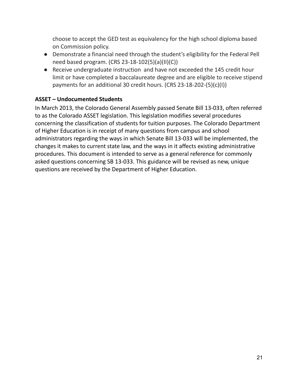choose to accept the GED test as equivalency for the high school diploma based on Commission policy.

- Demonstrate a financial need through the student's eligibility for the Federal Pell need based program. (CRS 23-18-102(5)(a)(II)(C))
- Receive undergraduate instruction and have not exceeded the 145 credit hour limit or have completed a baccalaureate degree and are eligible to receive stipend payments for an additional 30 credit hours. (CRS 23-18-202-(5)(c)(I))

# **ASSET – Undocumented Students**

In March 2013, the Colorado General Assembly passed Senate Bill 13-033, often referred to as the Colorado ASSET legislation. This legislation modifies several procedures concerning the classification of students for tuition purposes. The Colorado Department of Higher Education is in receipt of many questions from campus and school administrators regarding the ways in which Senate Bill 13-033 will be implemented, the changes it makes to current state law, and the ways in it affects existing administrative procedures. This document is intended to serve as a general reference for commonly asked questions concerning SB 13-033. This guidance will be revised as new, unique questions are received by the Department of Higher Education.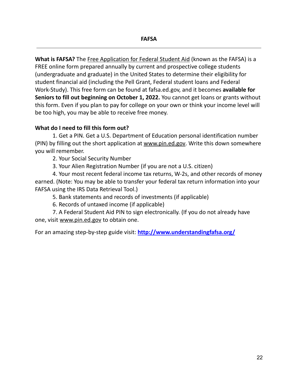**What is FAFSA?** The Free [Application](http://www.fafsa.ed.gov/) for Federal Student Aid (known as the FAFSA) is a FREE online form prepared annually by current and prospective college students (undergraduate and graduate) in the United States to determine their eligibility for student financial aid (including the Pell Grant, Federal student loans and Federal Work-Study). This free form can be found at fafsa.ed.gov, and it becomes **available for Seniors to fill out beginning on October 1, 2022.** You cannot get loans or grants without this form. Even if you plan to pay for college on your own or think your income level will be too high, you may be able to receive free money.

## **What do I need to fill this form out?**

1. Get a PIN. Get a U.S. Department of Education personal identification number (PIN) by filling out the short application at [www.pin.ed.gov](http://www.pin.ed.gov/). Write this down somewhere you will remember.

2. Your Social Security Number

3. Your Alien Registration Number (if you are not a U.S. citizen)

4. Your most recent federal income tax returns, W-2s, and other records of money earned. (Note: You may be able to transfer your federal tax return information into your FAFSA using the IRS Data Retrieval Tool.)

5. Bank statements and records of investments (if applicable)

6. Records of untaxed income (if applicable)

7. A Federal Student Aid PIN to sign electronically. (If you do not already have one, visit www.pin.ed.gov to obtain one.

For an amazing step-by-step guide visit: **<http://www.understandingfafsa.org/>**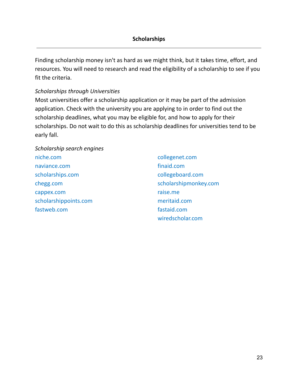Finding scholarship money isn't as hard as we might think, but it takes time, effort, and resources. You will need to research and read the eligibility of a scholarship to see if you fit the criteria.

#### *Scholarships through Universities*

Most universities offer a scholarship application or it may be part of the admission application. Check with the university you are applying to in order to find out the scholarship deadlines, what you may be eligible for, and how to apply for their scholarships. Do not wait to do this as scholarship deadlines for universities tend to be early fall.

*Scholarship search engines* [niche.com](https://www.niche.com/) [naviance.com](https://naviance.com/) [scholarships.com](https://www.scholarships.com/) [chegg.com](https://www.chegg.com/) [cappex.com](https://www.cappex.com/) [scholarshippoints.com](http://www.scholarshippoints.com/) [fastweb.com](http://www.fastweb.com/)

collegenet.com finaid.com collegeboard.com scholarshipmonkey.com raise.me meritaid.com fastaid.com wiredscholar.com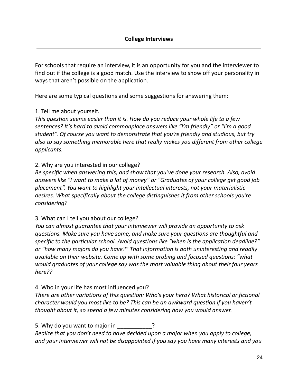For schools that require an interview, it is an opportunity for you and the interviewer to find out if the college is a good match. Use the interview to show off your personality in ways that aren't possible on the application.

Here are some typical questions and some suggestions for answering them:

# 1. Tell me about yourself.

*This question seems easier than it is. How do you reduce your whole life to a few sentences? It's hard to avoid commonplace answers like "I'm friendly" or "I'm a good student". Of course you want to demonstrate that you're friendly and studious, but try also to say something memorable here that really makes you different from other college applicants.*

## 2. Why are you interested in our college?

*Be specific when answering this, and show that you've done your research. Also, avoid answers like "I want to make a lot of money" or "Graduates of your college get good job placement". You want to highlight your intellectual interests, not your materialistic desires. What specifically about the college distinguishes it from other schools you're considering?*

## 3. What can I tell you about our college?

*You can almost guarantee that your interviewer will provide an opportunity to ask questions. Make sure you have some, and make sure your questions are thoughtful and specific to the particular school. Avoid questions like "when is the application deadline?" or "how many majors do you have?" That information is both uninteresting and readily available on their website. Come up with some probing and focused questions: "what would graduates of your college say was the most valuable thing about their four years here??*

# 4. Who in your life has most influenced you?

*There are other variations of this question: Who's your hero? What historical or fictional character would you most like to be? This can be an awkward question if you haven't thought about it, so spend a few minutes considering how you would answer.*

5. Why do you want to major in **Fig. 1.1.** *Realize that you don't need to have decided upon a major when you apply to college, and your interviewer will not be disappointed if you say you have many interests and you*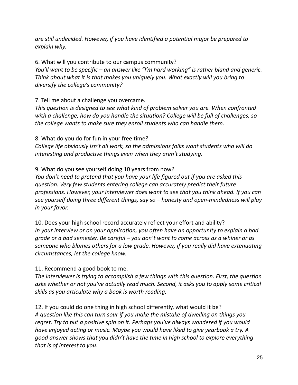*are still undecided. However, if you have identified a potential major be prepared to explain why.*

6. What will you contribute to our campus community?

*You'll want to be specific – an answer like "I'm hard working" is rather bland and generic. Think about what it is that makes you uniquely you. What exactly will you bring to diversify the college's community?*

7. Tell me about a challenge you overcame.

*This question is designed to see what kind of problem solver you are. When confronted with a challenge, how do you handle the situation? College will be full of challenges, so the college wants to make sure they enroll students who can handle them.*

8. What do you do for fun in your free time?

*College life obviously isn't all work, so the admissions folks want students who will do interesting and productive things even when they aren't studying.*

9. What do you see yourself doing 10 years from now?

*You don't need to pretend that you have your life figured out if you are asked this question. Very few students entering college can accurately predict their future professions. However, your interviewer does want to see that you think ahead. If you can see yourself doing three different things, say so – honesty and open-mindedness will play in your favor.*

10. Does your high school record accurately reflect your effort and ability? *In your interview or on your application, you often have an opportunity to explain a bad grade or a bad semester. Be careful – you don't want to come across as a whiner or as someone who blames others for a low grade. However, if you really did have extenuating circumstances, let the college know.*

11. Recommend a good book to me.

*The interviewer is trying to accomplish a few things with this question. First, the question asks whether or not you've actually read much. Second, it asks you to apply some critical skills as you articulate why a book is worth reading.*

12. If you could do one thing in high school differently, what would it be? *A question like this can turn sour if you make the mistake of dwelling on things you regret. Try to put a positive spin on it. Perhaps you've always wondered if you would have enjoyed acting or music. Maybe you would have liked to give yearbook a try. A good answer shows that you didn't have the time in high school to explore everything that is of interest to you*.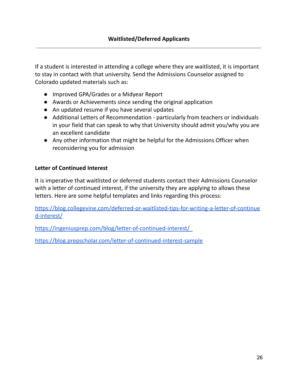If a student is interested in attending a college where they are waitlisted, it is important to stay in contact with that university. Send the Admissions Counselor assigned to Colorado updated materials such as:

- Improved GPA/Grades or a Midyear Report
- Awards or Achievements since sending the original application
- An updated resume if you have several updates
- Additional Letters of Recommendation particularly from teachers or individuals in your field that can speak to why that University should admit you/why you are an excellent candidate
- Any other information that might be helpful for the Admissions Officer when reconsidering you for admission

## **Letter of Continued Interest**

It is imperative that waitlisted or deferred students contact their Admissions Counselor with a letter of continued interest, if the university they are applying to allows these letters. Here are some helpful templates and links regarding this process:

[https://blog.collegevine.com/deferred-or-waitlisted-tips-for-writing-a-letter-of-continue](https://blog.collegevine.com/deferred-or-waitlisted-tips-for-writing-a-letter-of-continued-interest/) [d-interest/](https://blog.collegevine.com/deferred-or-waitlisted-tips-for-writing-a-letter-of-continued-interest/)

<https://ingeniusprep.com/blog/letter-of-continued-interest/>

<https://blog.prepscholar.com/letter-of-continued-interest-sample>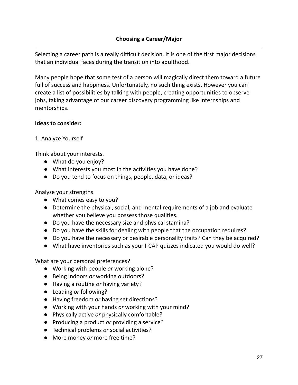Selecting a career path is a really difficult decision. It is one of the first major decisions that an individual faces during the transition into adulthood.

Many people hope that some test of a person will magically direct them toward a future full of success and happiness. Unfortunately, no such thing exists. However you can create a list of possibilities by talking with people, creating opportunities to observe jobs, taking advantage of our career discovery programming like internships and mentorships.

#### **Ideas to consider:**

## 1. Analyze Yourself

Think about your interests.

- What do you enjoy?
- What interests you most in the activities you have done?
- Do you tend to focus on things, people, data, or ideas?

Analyze your strengths.

- What comes easy to you?
- Determine the physical, social, and mental requirements of a job and evaluate whether you believe you possess those qualities.
- Do you have the necessary size and physical stamina?
- Do you have the skills for dealing with people that the occupation requires?
- Do you have the necessary or desirable personality traits? Can they be acquired?
- What have inventories such as your I-CAP quizzes indicated you would do well?

What are your personal preferences?

- Working with people *or* working alone?
- Being indoors *or* working outdoors?
- Having a routine *or* having variety?
- Leading *or* following?
- Having freedom *or* having set directions?
- Working with your hands *or* working with your mind?
- Physically active *or* physically comfortable?
- Producing a product *or* providing a service?
- Technical problems *or* social activities?
- More money *or* more free time?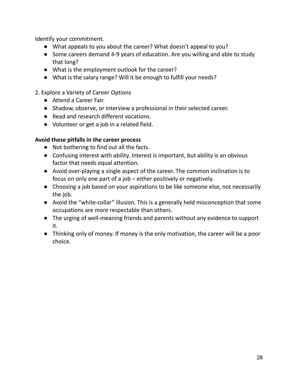Identify your commitment.

- What appeals to you about the career? What doesn't appeal to you?
- Some careers demand 4-9 years of education. Are you willing and able to study that long?
- What is the employment outlook for the career?
- What is the salary range? Will it be enough to fulfill your needs?
- 2. Explore a Variety of Career Options
	- Attend a Career Fair.
	- Shadow, observe, or interview a professional in their selected career.
	- Read and research different vocations.
	- Volunteer or get a job in a related field.

## **Avoid these pitfalls in the career process**

- Not bothering to find out all the facts.
- Confusing interest with ability. Interest is important, but ability is an obvious factor that needs equal attention.
- Avoid over-playing a single aspect of the career. The common inclination is to focus on only one part of a job – either positively or negatively.
- Choosing a job based on your aspirations to be like someone else, not necessarily the job.
- Avoid the "white-collar" illusion. This is a generally held misconception that some occupations are more respectable than others.
- The urging of well-meaning friends and parents without any evidence to support it.
- Thinking only of money. If money is the only motivation, the career will be a poor choice.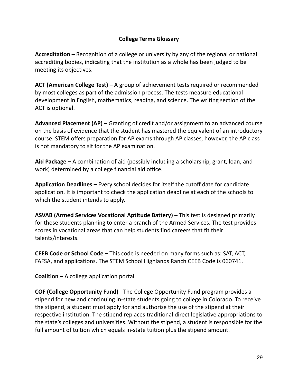**Accreditation –** Recognition of a college or university by any of the regional or national accrediting bodies, indicating that the institution as a whole has been judged to be meeting its objectives.

**ACT (American College Test) –** A group of achievement tests required or recommended by most colleges as part of the admission process. The tests measure educational development in English, mathematics, reading, and science. The writing section of the ACT is optional.

**Advanced Placement (AP) –** Granting of credit and/or assignment to an advanced course on the basis of evidence that the student has mastered the equivalent of an introductory course. STEM offers preparation for AP exams through AP classes, however, the AP class is not mandatory to sit for the AP examination.

**Aid Package –** A combination of aid (possibly including a scholarship, grant, loan, and work) determined by a college financial aid office.

**Application Deadlines –** Every school decides for itself the cutoff date for candidate application. It is important to check the application deadline at each of the schools to which the student intends to apply.

**ASVAB (Armed Services Vocational Aptitude Battery) –** This test is designed primarily for those students planning to enter a branch of the Armed Services. The test provides scores in vocational areas that can help students find careers that fit their talents/interests.

**CEEB Code or School Code –** This code is needed on many forms such as: SAT, ACT, FAFSA, and applications. The STEM School Highlands Ranch CEEB Code is 060741.

**Coalition –** A college application portal

**COF (College Opportunity Fund)** - The College Opportunity Fund program provides a stipend for new and continuing in-state students going to college in Colorado. To receive the stipend, a student must apply for and authorize the use of the stipend at their respective institution. The stipend replaces traditional direct legislative appropriations to the state's colleges and universities. Without the stipend, a student is responsible for the full amount of tuition which equals in-state tuition plus the stipend amount.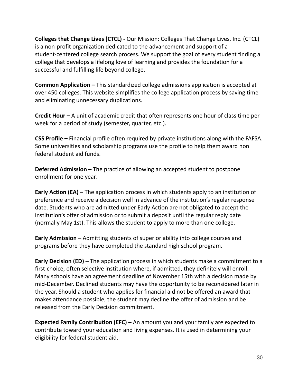**Colleges that Change Lives (CTCL) -** Our Mission: Colleges That Change Lives, Inc. (CTCL) is a non-profit organization dedicated to the advancement and support of a student-centered college search process. We support the goal of every student finding a college that develops a lifelong love of learning and provides the foundation for a successful and fulfilling life beyond college.

**Common Application –** This standardized college admissions application is accepted at over 450 colleges. This website simplifies the college application process by saving time and eliminating unnecessary duplications.

**Credit Hour –** A unit of academic credit that often represents one hour of class time per week for a period of study (semester, quarter, etc.).

**CSS Profile –** Financial profile often required by private institutions along with the FAFSA. Some universities and scholarship programs use the profile to help them award non federal student aid funds.

**Deferred Admission –** The practice of allowing an accepted student to postpone enrollment for one year.

**Early Action (EA) –** The application process in which students apply to an institution of preference and receive a decision well in advance of the institution's regular response date. Students who are admitted under Early Action are not obligated to accept the institution's offer of admission or to submit a deposit until the regular reply date (normally May 1st). This allows the student to apply to more than one college.

**Early Admission –** Admitting students of superior ability into college courses and programs before they have completed the standard high school program.

**Early Decision (ED) –** The application process in which students make a commitment to a first-choice, often selective institution where, if admitted, they definitely will enroll. Many schools have an agreement deadline of November 15th with a decision made by mid-December. Declined students may have the opportunity to be reconsidered later in the year. Should a student who applies for financial aid not be offered an award that makes attendance possible, the student may decline the offer of admission and be released from the Early Decision commitment.

**Expected Family Contribution (EFC) –** An amount you and your family are expected to contribute toward your education and living expenses. It is used in determining your eligibility for federal student aid.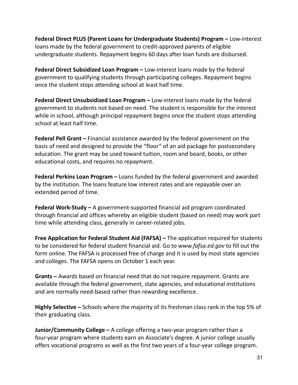**Federal Direct PLUS (Parent Loans for Undergraduate Students) Program –** Low-interest loans made by the federal government to credit-approved parents of eligible undergraduate students. Repayment begins 60 days after loan funds are disbursed.

**Federal Direct Subsidized Loan Program –** Low-interest loans made by the federal government to qualifying students through participating colleges. Repayment begins once the student stops attending school at least half time.

**Federal Direct Unsubsidized Loan Program –** Low-interest loans made by the federal government to students not based on need. The student is responsible for the interest while in school, although principal repayment begins once the student stops attending school at least half time.

**Federal Pell Grant –** Financial assistance awarded by the federal government on the basis of need and designed to provide the "floor" of an aid package for postsecondary education. The grant may be used toward tuition, room and board, books, or other educational costs, and requires no repayment.

**Federal Perkins Loan Program –** Loans funded by the federal government and awarded by the institution. The loans feature low interest rates and are repayable over an extended period of time.

**Federal Work-Study –** A government-supported financial aid program coordinated through financial aid offices whereby an eligible student (based on need) may work part time while attending class, generally in career-related jobs.

**Free Application for Federal Student Aid (FAFSA) –** The application required for students to be considered for federal student financial aid. Go to *www.fafsa.ed.gov* to fill out the form online. The FAFSA is processed free of charge and it is used by most state agencies and colleges. The FAFSA opens on October 1 each year.

**Grants –** Awards based on financial need that do not require repayment. Grants are available through the federal government, state agencies, and educational institutions and are normally need-based rather than rewarding excellence.

**Highly Selective –** Schools where the majority of its freshman class rank in the top 5% of their graduating class.

**Junior/Community College –** A college offering a two-year program rather than a four-year program where students earn an Associate's degree. A junior college usually offers vocational programs as well as the first two years of a four-year college program.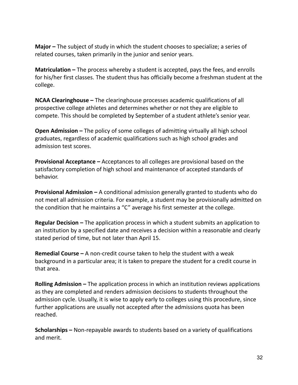**Major –** The subject of study in which the student chooses to specialize; a series of related courses, taken primarily in the junior and senior years.

**Matriculation –** The process whereby a student is accepted, pays the fees, and enrolls for his/her first classes. The student thus has officially become a freshman student at the college.

**NCAA Clearinghouse –** The clearinghouse processes academic qualifications of all prospective college athletes and determines whether or not they are eligible to compete. This should be completed by September of a student athlete's senior year.

**Open Admission –** The policy of some colleges of admitting virtually all high school graduates, regardless of academic qualifications such as high school grades and admission test scores.

**Provisional Acceptance –** Acceptances to all colleges are provisional based on the satisfactory completion of high school and maintenance of accepted standards of behavior.

**Provisional Admission –** A conditional admission generally granted to students who do not meet all admission criteria. For example, a student may be provisionally admitted on the condition that he maintains a "C" average his first semester at the college.

**Regular Decision –** The application process in which a student submits an application to an institution by a specified date and receives a decision within a reasonable and clearly stated period of time, but not later than April 15.

**Remedial Course –** A non-credit course taken to help the student with a weak background in a particular area; it is taken to prepare the student for a credit course in that area.

**Rolling Admission –** The application process in which an institution reviews applications as they are completed and renders admission decisions to students throughout the admission cycle. Usually, it is wise to apply early to colleges using this procedure, since further applications are usually not accepted after the admissions quota has been reached.

**Scholarships –** Non-repayable awards to students based on a variety of qualifications and merit.